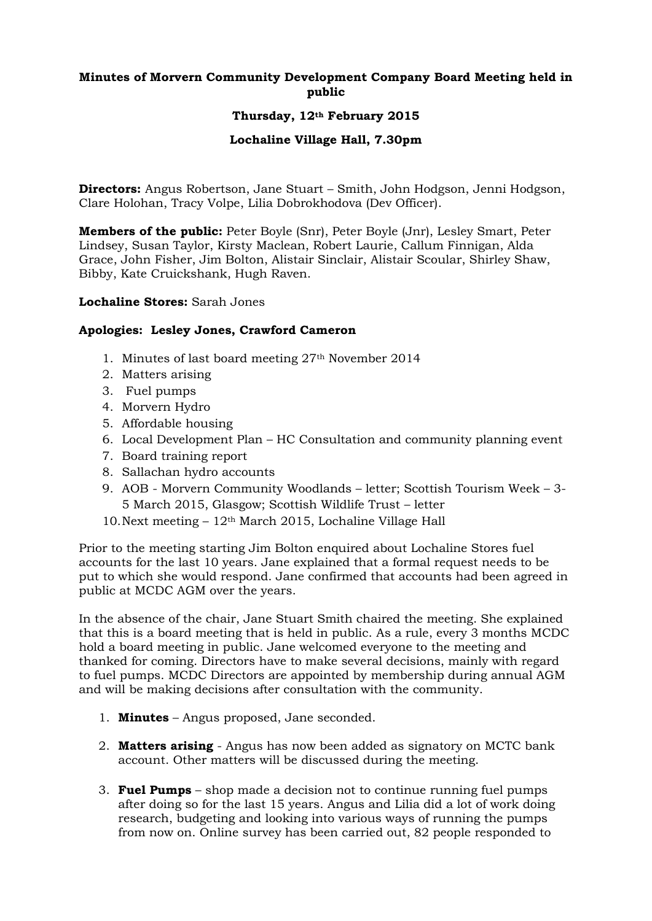# **Minutes of Morvern Community Development Company Board Meeting held in public**

## **Thursday, 12th February 2015**

### **Lochaline Village Hall, 7.30pm**

**Directors:** Angus Robertson, Jane Stuart – Smith, John Hodgson, Jenni Hodgson, Clare Holohan, Tracy Volpe, Lilia Dobrokhodova (Dev Officer).

**Members of the public:** Peter Boyle (Snr), Peter Boyle (Jnr), Lesley Smart, Peter Lindsey, Susan Taylor, Kirsty Maclean, Robert Laurie, Callum Finnigan, Alda Grace, John Fisher, Jim Bolton, Alistair Sinclair, Alistair Scoular, Shirley Shaw, Bibby, Kate Cruickshank, Hugh Raven.

#### **Lochaline Stores:** Sarah Jones

### **Apologies: Lesley Jones, Crawford Cameron**

- 1. Minutes of last board meeting 27th November 2014
- 2. Matters arising
- 3. Fuel pumps
- 4. Morvern Hydro
- 5. Affordable housing
- 6. Local Development Plan HC Consultation and community planning event
- 7. Board training report
- 8. Sallachan hydro accounts
- 9. AOB Morvern Community Woodlands letter; Scottish Tourism Week 3- 5 March 2015, Glasgow; Scottish Wildlife Trust – letter
- 10.Next meeting 12th March 2015, Lochaline Village Hall

Prior to the meeting starting Jim Bolton enquired about Lochaline Stores fuel accounts for the last 10 years. Jane explained that a formal request needs to be put to which she would respond. Jane confirmed that accounts had been agreed in public at MCDC AGM over the years.

In the absence of the chair, Jane Stuart Smith chaired the meeting. She explained that this is a board meeting that is held in public. As a rule, every 3 months MCDC hold a board meeting in public. Jane welcomed everyone to the meeting and thanked for coming. Directors have to make several decisions, mainly with regard to fuel pumps. MCDC Directors are appointed by membership during annual AGM and will be making decisions after consultation with the community.

- 1. **Minutes** Angus proposed, Jane seconded.
- 2. **Matters arising** Angus has now been added as signatory on MCTC bank account. Other matters will be discussed during the meeting.
- 3. **Fuel Pumps** shop made a decision not to continue running fuel pumps after doing so for the last 15 years. Angus and Lilia did a lot of work doing research, budgeting and looking into various ways of running the pumps from now on. Online survey has been carried out, 82 people responded to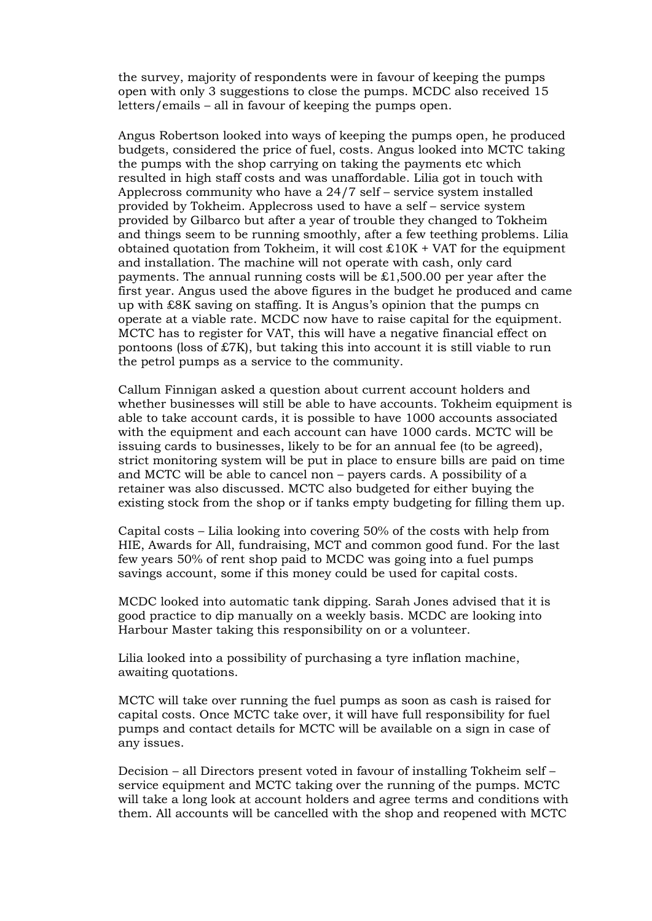the survey, majority of respondents were in favour of keeping the pumps open with only 3 suggestions to close the pumps. MCDC also received 15 letters/emails – all in favour of keeping the pumps open.

Angus Robertson looked into ways of keeping the pumps open, he produced budgets, considered the price of fuel, costs. Angus looked into MCTC taking the pumps with the shop carrying on taking the payments etc which resulted in high staff costs and was unaffordable. Lilia got in touch with Applecross community who have a 24/7 self – service system installed provided by Tokheim. Applecross used to have a self – service system provided by Gilbarco but after a year of trouble they changed to Tokheim and things seem to be running smoothly, after a few teething problems. Lilia obtained quotation from Tokheim, it will cost  $\text{\pounds}10K + \text{VAT}$  for the equipment and installation. The machine will not operate with cash, only card payments. The annual running costs will be  $£1,500.00$  per year after the first year. Angus used the above figures in the budget he produced and came up with £8K saving on staffing. It is Angus's opinion that the pumps cn operate at a viable rate. MCDC now have to raise capital for the equipment. MCTC has to register for VAT, this will have a negative financial effect on pontoons (loss of £7K), but taking this into account it is still viable to run the petrol pumps as a service to the community.

Callum Finnigan asked a question about current account holders and whether businesses will still be able to have accounts. Tokheim equipment is able to take account cards, it is possible to have 1000 accounts associated with the equipment and each account can have 1000 cards. MCTC will be issuing cards to businesses, likely to be for an annual fee (to be agreed), strict monitoring system will be put in place to ensure bills are paid on time and MCTC will be able to cancel non – payers cards. A possibility of a retainer was also discussed. MCTC also budgeted for either buying the existing stock from the shop or if tanks empty budgeting for filling them up.

Capital costs – Lilia looking into covering 50% of the costs with help from HIE, Awards for All, fundraising, MCT and common good fund. For the last few years 50% of rent shop paid to MCDC was going into a fuel pumps savings account, some if this money could be used for capital costs.

MCDC looked into automatic tank dipping. Sarah Jones advised that it is good practice to dip manually on a weekly basis. MCDC are looking into Harbour Master taking this responsibility on or a volunteer.

Lilia looked into a possibility of purchasing a tyre inflation machine, awaiting quotations.

MCTC will take over running the fuel pumps as soon as cash is raised for capital costs. Once MCTC take over, it will have full responsibility for fuel pumps and contact details for MCTC will be available on a sign in case of any issues.

Decision – all Directors present voted in favour of installing Tokheim self – service equipment and MCTC taking over the running of the pumps. MCTC will take a long look at account holders and agree terms and conditions with them. All accounts will be cancelled with the shop and reopened with MCTC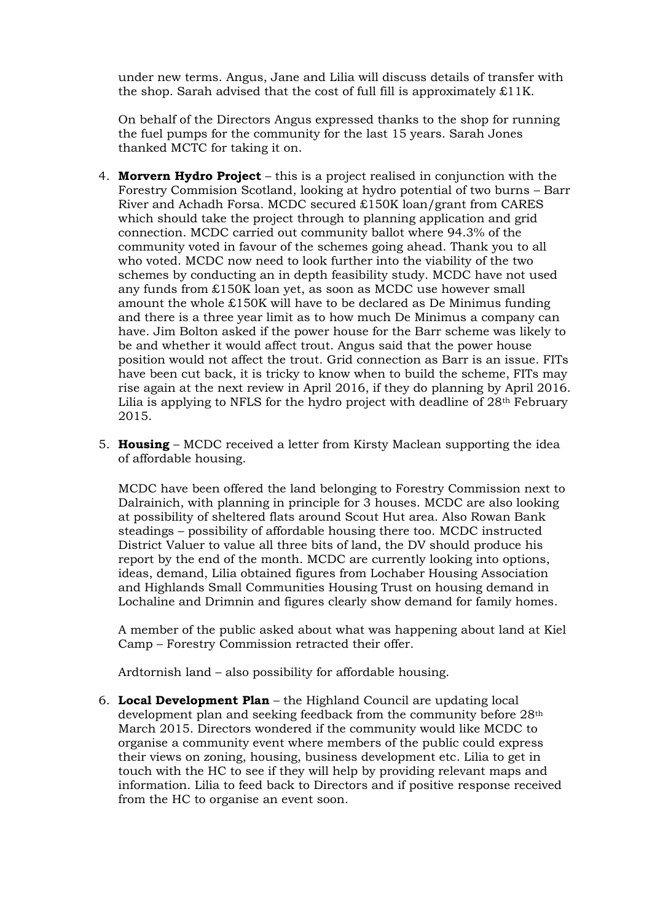under new terms. Angus, Jane and Lilia will discuss details of transfer with the shop. Sarah advised that the cost of full fill is approximately  $\pounds$ 11K.

On behalf of the Directors Angus expressed thanks to the shop for running the fuel pumps for the community for the last 15 years. Sarah Jones thanked MCTC for taking it on.

- 4. **Morvern Hydro Project** this is a project realised in conjunction with the Forestry Commision Scotland, looking at hydro potential of two burns – Barr River and Achadh Forsa. MCDC secured £150K loan/grant from CARES which should take the project through to planning application and grid connection. MCDC carried out community ballot where 94.3% of the community voted in favour of the schemes going ahead. Thank you to all who voted. MCDC now need to look further into the viability of the two schemes by conducting an in depth feasibility study. MCDC have not used any funds from £150K loan yet, as soon as MCDC use however small amount the whole £150K will have to be declared as De Minimus funding and there is a three year limit as to how much De Minimus a company can have. Jim Bolton asked if the power house for the Barr scheme was likely to be and whether it would affect trout. Angus said that the power house position would not affect the trout. Grid connection as Barr is an issue. FITs have been cut back, it is tricky to know when to build the scheme, FITs may rise again at the next review in April 2016, if they do planning by April 2016. Lilia is applying to NFLS for the hydro project with deadline of 28<sup>th</sup> February 2015.
- 5. **Housing**  MCDC received a letter from Kirsty Maclean supporting the idea of affordable housing.

MCDC have been offered the land belonging to Forestry Commission next to Dalrainich, with planning in principle for 3 houses. MCDC are also looking at possibility of sheltered flats around Scout Hut area. Also Rowan Bank steadings – possibility of affordable housing there too. MCDC instructed District Valuer to value all three bits of land, the DV should produce his report by the end of the month. MCDC are currently looking into options, ideas, demand, Lilia obtained figures from Lochaber Housing Association and Highlands Small Communities Housing Trust on housing demand in Lochaline and Drimnin and figures clearly show demand for family homes.

A member of the public asked about what was happening about land at Kiel Camp – Forestry Commission retracted their offer.

Ardtornish land – also possibility for affordable housing.

6. **Local Development Plan** – the Highland Council are updating local development plan and seeking feedback from the community before 28th March 2015. Directors wondered if the community would like MCDC to organise a community event where members of the public could express their views on zoning, housing, business development etc. Lilia to get in touch with the HC to see if they will help by providing relevant maps and information. Lilia to feed back to Directors and if positive response received from the HC to organise an event soon.